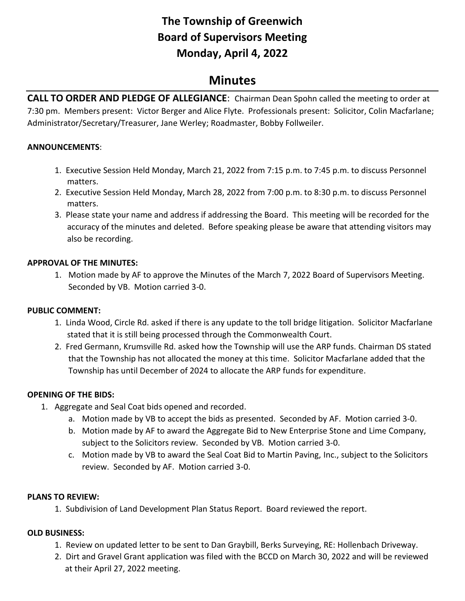# **The Township of Greenwich Board of Supervisors Meeting Monday, April 4, 2022**

## **Minutes**

**CALL TO ORDER AND PLEDGE OF ALLEGIANCE**: Chairman Dean Spohn called the meeting to order at 7:30 pm. Members present: Victor Berger and Alice Flyte. Professionals present: Solicitor, Colin Macfarlane; Administrator/Secretary/Treasurer, Jane Werley; Roadmaster, Bobby Follweiler.

### **ANNOUNCEMENTS**:

- 1. Executive Session Held Monday, March 21, 2022 from 7:15 p.m. to 7:45 p.m. to discuss Personnel matters.
- 2. Executive Session Held Monday, March 28, 2022 from 7:00 p.m. to 8:30 p.m. to discuss Personnel matters.
- 3. Please state your name and address if addressing the Board. This meeting will be recorded for the accuracy of the minutes and deleted. Before speaking please be aware that attending visitors may also be recording.

## **APPROVAL OF THE MINUTES:**

1. Motion made by AF to approve the Minutes of the March 7, 2022 Board of Supervisors Meeting. Seconded by VB. Motion carried 3-0.

## **PUBLIC COMMENT:**

- 1. Linda Wood, Circle Rd. asked if there is any update to the toll bridge litigation. Solicitor Macfarlane stated that it is still being processed through the Commonwealth Court.
- 2. Fred Germann, Krumsville Rd. asked how the Township will use the ARP funds. Chairman DS stated that the Township has not allocated the money at this time. Solicitor Macfarlane added that the Township has until December of 2024 to allocate the ARP funds for expenditure.

#### **OPENING OF THE BIDS:**

- 1. Aggregate and Seal Coat bids opened and recorded.
	- a. Motion made by VB to accept the bids as presented. Seconded by AF. Motion carried 3-0.
	- b. Motion made by AF to award the Aggregate Bid to New Enterprise Stone and Lime Company, subject to the Solicitors review. Seconded by VB. Motion carried 3-0.
	- c. Motion made by VB to award the Seal Coat Bid to Martin Paving, Inc., subject to the Solicitors review. Seconded by AF. Motion carried 3-0.

#### **PLANS TO REVIEW:**

1. Subdivision of Land Development Plan Status Report. Board reviewed the report.

## **OLD BUSINESS:**

- 1.Review on updated letter to be sent to Dan Graybill, Berks Surveying, RE: Hollenbach Driveway.
- 2. Dirt and Gravel Grant application was filed with the BCCD on March 30, 2022 and will be reviewed at their April 27, 2022 meeting.